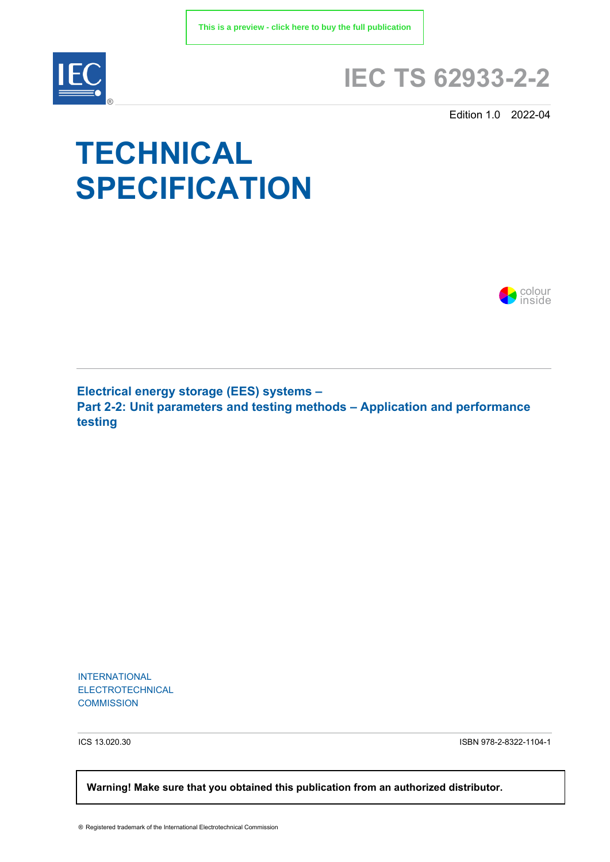

# **IEC TS 62933-2-2**

Edition 1.0 2022-04

# **TECHNICAL SPECIFICATION**



**Electrical energy storage (EES) systems – Part 2-2: Unit parameters and testing methods – Application and performance testing**

INTERNATIONAL ELECTROTECHNICAL **COMMISSION** 

ICS 13.020.30 ISBN 978-2-8322-1104-1

 **Warning! Make sure that you obtained this publication from an authorized distributor.**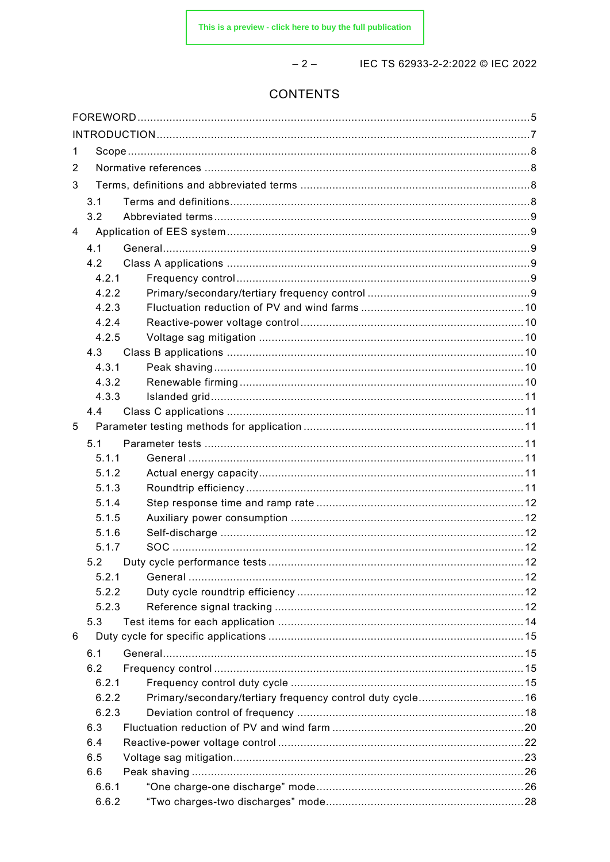$-2-$ 

# IEC TS 62933-2-2:2022 © IEC 2022

# CONTENTS

| 1 |       |                                                            |  |  |  |
|---|-------|------------------------------------------------------------|--|--|--|
| 2 |       |                                                            |  |  |  |
| 3 |       |                                                            |  |  |  |
|   | 3.1   |                                                            |  |  |  |
|   | 3.2   |                                                            |  |  |  |
| 4 |       |                                                            |  |  |  |
|   | 4.1   |                                                            |  |  |  |
|   | 4.2   |                                                            |  |  |  |
|   | 4.2.1 |                                                            |  |  |  |
|   | 4.2.2 |                                                            |  |  |  |
|   | 4.2.3 |                                                            |  |  |  |
|   | 4.2.4 |                                                            |  |  |  |
|   | 4.2.5 |                                                            |  |  |  |
|   | 4.3   |                                                            |  |  |  |
|   | 4.3.1 |                                                            |  |  |  |
|   | 4.3.2 |                                                            |  |  |  |
|   | 4.3.3 |                                                            |  |  |  |
|   | 4.4   |                                                            |  |  |  |
| 5 |       |                                                            |  |  |  |
|   | 5.1   |                                                            |  |  |  |
|   | 5.1.1 |                                                            |  |  |  |
|   | 5.1.2 |                                                            |  |  |  |
|   | 5.1.3 |                                                            |  |  |  |
|   | 5.1.4 |                                                            |  |  |  |
|   | 5.1.5 |                                                            |  |  |  |
|   | 5.1.6 |                                                            |  |  |  |
|   | 5.1.7 |                                                            |  |  |  |
|   | 5.2   |                                                            |  |  |  |
|   | 5.2.1 |                                                            |  |  |  |
|   | 5.2.2 |                                                            |  |  |  |
|   | 5.2.3 |                                                            |  |  |  |
|   | 5.3   |                                                            |  |  |  |
| 6 |       |                                                            |  |  |  |
|   | 6.1   |                                                            |  |  |  |
|   | 6.2   |                                                            |  |  |  |
|   | 6.2.1 |                                                            |  |  |  |
|   | 6.2.2 | Primary/secondary/tertiary frequency control duty cycle 16 |  |  |  |
|   | 6.2.3 |                                                            |  |  |  |
|   | 6.3   |                                                            |  |  |  |
|   | 6.4   |                                                            |  |  |  |
|   | 6.5   |                                                            |  |  |  |
|   | 6.6   |                                                            |  |  |  |
|   | 6.6.1 |                                                            |  |  |  |
|   | 6.6.2 |                                                            |  |  |  |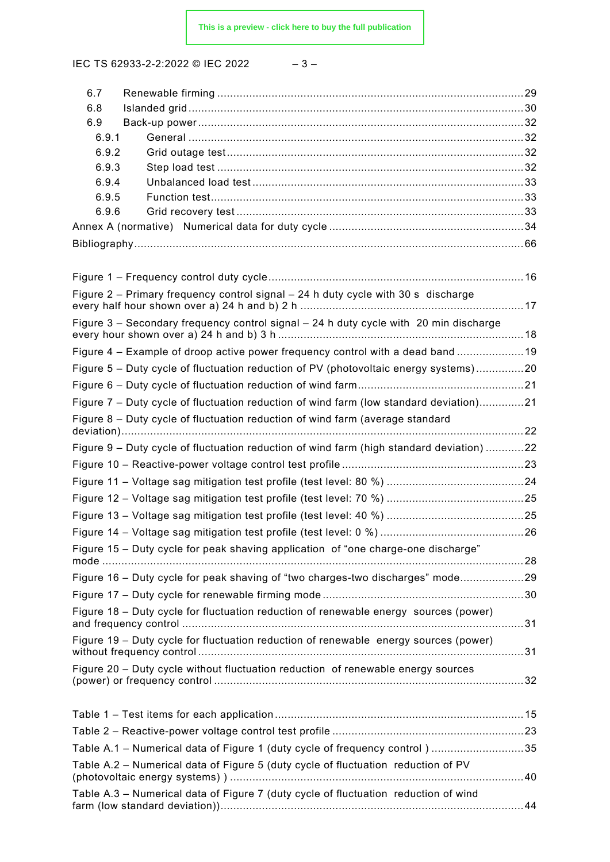IEC TS 62933-2-2:2022 © IEC 2022

| × | ۰. |  |
|---|----|--|
|---|----|--|

| 6.7            |                                                                                          |  |
|----------------|------------------------------------------------------------------------------------------|--|
| 6.8            |                                                                                          |  |
| 6.9            |                                                                                          |  |
| 6.9.1          |                                                                                          |  |
| 6.9.2          |                                                                                          |  |
| 6.9.3<br>6.9.4 |                                                                                          |  |
| 6.9.5          |                                                                                          |  |
| 6.9.6          |                                                                                          |  |
|                |                                                                                          |  |
|                |                                                                                          |  |
|                |                                                                                          |  |
|                |                                                                                          |  |
|                | Figure 2 – Primary frequency control signal – 24 h duty cycle with 30 s discharge        |  |
|                | Figure 3 - Secondary frequency control signal - 24 h duty cycle with 20 min discharge    |  |
|                | Figure 4 - Example of droop active power frequency control with a dead band 19           |  |
|                | Figure 5 - Duty cycle of fluctuation reduction of PV (photovoltaic energy systems)20     |  |
|                |                                                                                          |  |
|                |                                                                                          |  |
|                | Figure 7 - Duty cycle of fluctuation reduction of wind farm (low standard deviation)21   |  |
|                | Figure 8 - Duty cycle of fluctuation reduction of wind farm (average standard            |  |
|                | Figure 9 - Duty cycle of fluctuation reduction of wind farm (high standard deviation) 22 |  |
|                |                                                                                          |  |
|                |                                                                                          |  |
|                |                                                                                          |  |
|                |                                                                                          |  |
|                |                                                                                          |  |
|                | Figure 15 – Duty cycle for peak shaving application of "one charge-one discharge"        |  |
|                |                                                                                          |  |
|                | Figure 16 - Duty cycle for peak shaving of "two charges-two discharges" mode29           |  |
|                |                                                                                          |  |
|                | Figure 18 – Duty cycle for fluctuation reduction of renewable energy sources (power)     |  |
|                | Figure 19 - Duty cycle for fluctuation reduction of renewable energy sources (power)     |  |
|                | Figure 20 – Duty cycle without fluctuation reduction of renewable energy sources         |  |
|                |                                                                                          |  |
|                |                                                                                          |  |
|                |                                                                                          |  |
|                | Table A.1 - Numerical data of Figure 1 (duty cycle of frequency control) 35              |  |
|                | Table A.2 - Numerical data of Figure 5 (duty cycle of fluctuation reduction of PV        |  |
|                | Table A.3 - Numerical data of Figure 7 (duty cycle of fluctuation reduction of wind      |  |
|                |                                                                                          |  |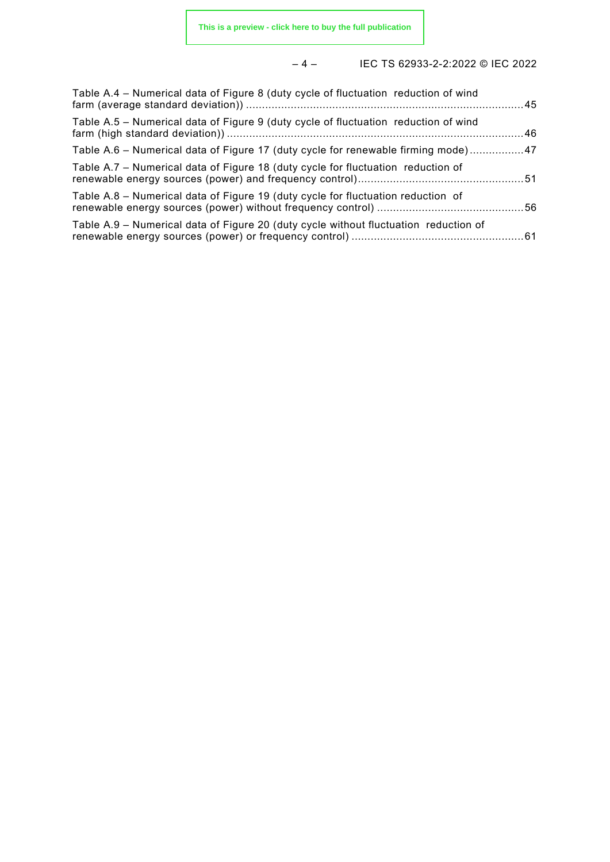# – 4 – IEC TS 62933-2-2:2022 © IEC 2022

| Table A.4 - Numerical data of Figure 8 (duty cycle of fluctuation reduction of wind  |  |
|--------------------------------------------------------------------------------------|--|
| Table A.5 - Numerical data of Figure 9 (duty cycle of fluctuation reduction of wind  |  |
| Table A.6 - Numerical data of Figure 17 (duty cycle for renewable firming mode)47    |  |
| Table A.7 – Numerical data of Figure 18 (duty cycle for fluctuation reduction of     |  |
| Table A.8 – Numerical data of Figure 19 (duty cycle for fluctuation reduction of     |  |
| Table A.9 - Numerical data of Figure 20 (duty cycle without fluctuation reduction of |  |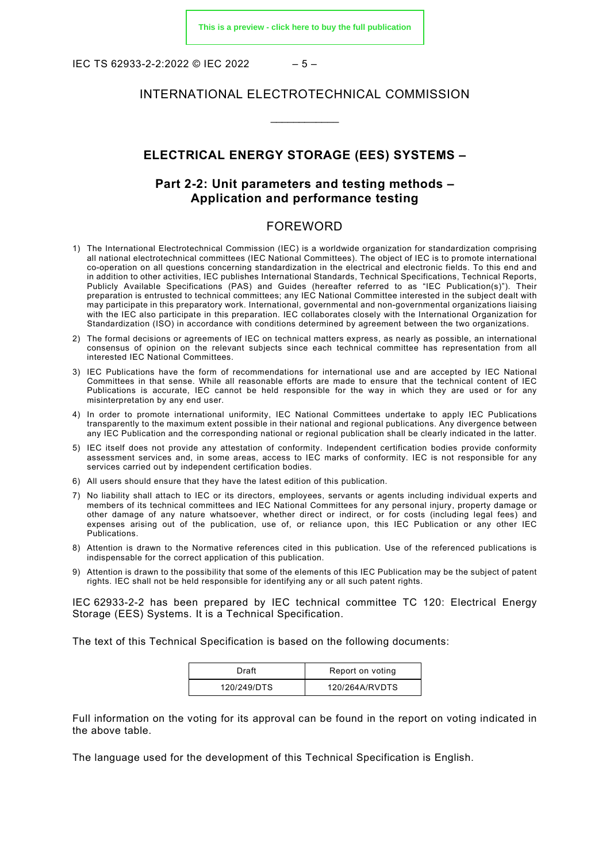IEC TS 62933-2-2:2022 © IEC 2022 – 5 –

#### INTERNATIONAL ELECTROTECHNICAL COMMISSION

\_\_\_\_\_\_\_\_\_\_\_\_

#### **ELECTRICAL ENERGY STORAGE (EES) SYSTEMS –**

### **Part 2-2: Unit parameters and testing methods – Application and performance testing**

#### FOREWORD

- <span id="page-4-0"></span>1) The International Electrotechnical Commission (IEC) is a worldwide organization for standardization comprising all national electrotechnical committees (IEC National Committees). The object of IEC is to promote international co-operation on all questions concerning standardization in the electrical and electronic fields. To this end and in addition to other activities, IEC publishes International Standards, Technical Specifications, Technical Reports, Publicly Available Specifications (PAS) and Guides (hereafter referred to as "IEC Publication(s)"). Their preparation is entrusted to technical committees; any IEC National Committee interested in the subject dealt with may participate in this preparatory work. International, governmental and non-governmental organizations liaising with the IEC also participate in this preparation. IEC collaborates closely with the International Organization for Standardization (ISO) in accordance with conditions determined by agreement between the two organizations.
- 2) The formal decisions or agreements of IEC on technical matters express, as nearly as possible, an international consensus of opinion on the relevant subjects since each technical committee has representation from all interested IEC National Committees.
- 3) IEC Publications have the form of recommendations for international use and are accepted by IEC National Committees in that sense. While all reasonable efforts are made to ensure that the technical content of IEC Publications is accurate, IEC cannot be held responsible for the way in which they are used or for any misinterpretation by any end user.
- 4) In order to promote international uniformity, IEC National Committees undertake to apply IEC Publications transparently to the maximum extent possible in their national and regional publications. Any divergence between any IEC Publication and the corresponding national or regional publication shall be clearly indicated in the latter.
- 5) IEC itself does not provide any attestation of conformity. Independent certification bodies provide conformity assessment services and, in some areas, access to IEC marks of conformity. IEC is not responsible for any services carried out by independent certification bodies.
- 6) All users should ensure that they have the latest edition of this publication.
- 7) No liability shall attach to IEC or its directors, employees, servants or agents including individual experts and members of its technical committees and IEC National Committees for any personal injury, property damage or other damage of any nature whatsoever, whether direct or indirect, or for costs (including legal fees) and expenses arising out of the publication, use of, or reliance upon, this IEC Publication or any other IEC Publications.
- 8) Attention is drawn to the Normative references cited in this publication. Use of the referenced publications is indispensable for the correct application of this publication.
- 9) Attention is drawn to the possibility that some of the elements of this IEC Publication may be the subject of patent rights. IEC shall not be held responsible for identifying any or all such patent rights.

IEC 62933-2-2 has been prepared by IEC technical committee TC 120: Electrical Energy Storage (EES) Systems. It is a Technical Specification.

The text of this Technical Specification is based on the following documents:

| Draft       | Report on voting |
|-------------|------------------|
| 120/249/DTS | 120/264A/RVDTS   |

Full information on the voting for its approval can be found in the report on voting indicated in the above table.

The language used for the development of this Technical Specification is English.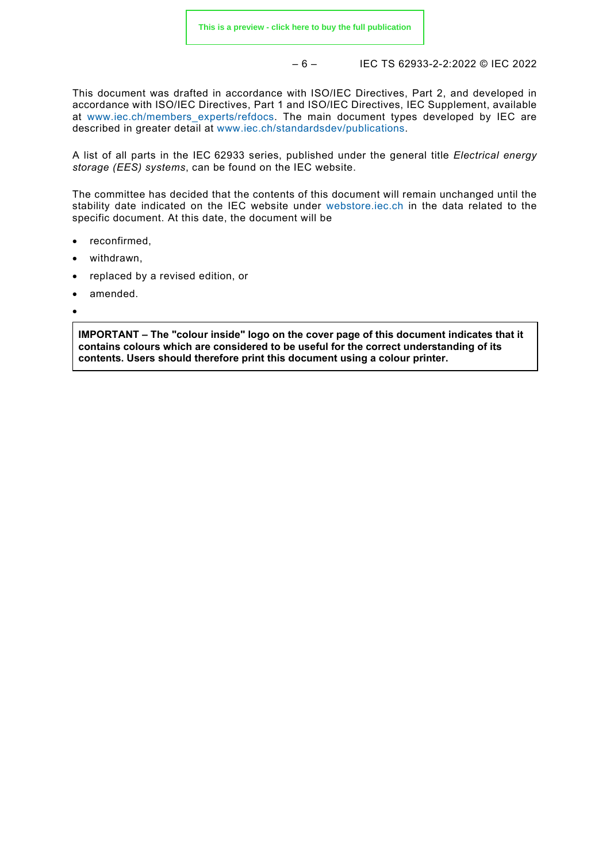– 6 – IEC TS 62933-2-2:2022 © IEC 2022

This document was drafted in accordance with ISO/IEC Directives, Part 2, and developed in accordance with ISO/IEC Directives, Part 1 and ISO/IEC Directives, IEC Supplement, available at [www.iec.ch/members\\_experts/refdocs.](https://www.iec.ch/members_experts/refdocs) The main document types developed by IEC are described in greater detail at [www.iec.ch/standardsdev/publications.](https://www.iec.ch/standardsdev/publications)

A list of all parts in the IEC 62933 series, published under the general title *Electrical energy storage (EES) systems*, can be found on the IEC website.

The committee has decided that the contents of this document will remain unchanged until the stability date indicated on the IEC website under [webstore.iec.ch](https://webstore.iec.ch/?ref=menu) in the data related to the specific document. At this date, the document will be

- reconfirmed.
- withdrawn,
- replaced by a revised edition, or
- amended.
- •

**IMPORTANT – The "colour inside" logo on the cover page of this document indicates that it contains colours which are considered to be useful for the correct understanding of its contents. Users should therefore print this document using a colour printer.**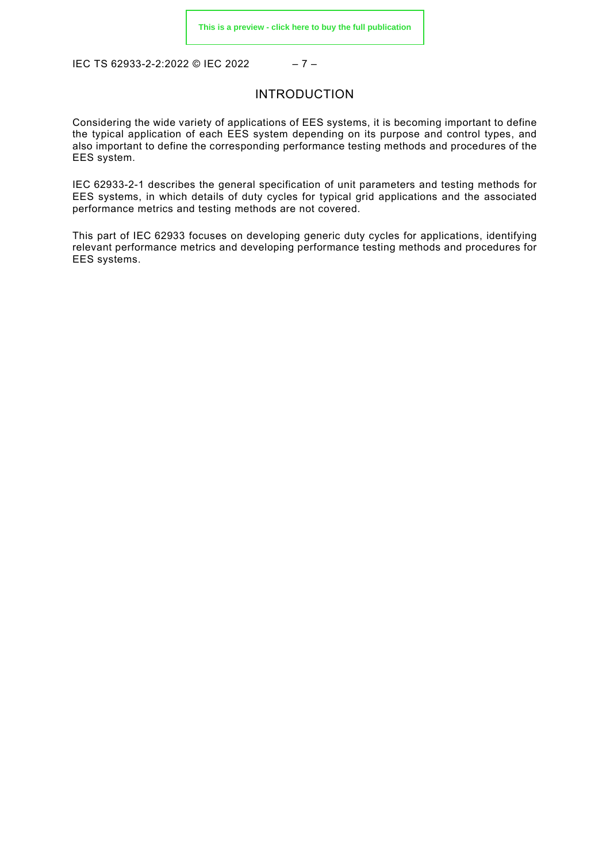<span id="page-6-0"></span>IEC TS 62933-2-2:2022 © IEC 2022 – 7 –

#### INTRODUCTION

Considering the wide variety of applications of EES systems, it is becoming important to define the typical application of each EES system depending on its purpose and control types, and also important to define the corresponding performance testing methods and procedures of the EES system.

IEC 62933-2-1 describes the general specification of unit parameters and testing methods for EES systems, in which details of duty cycles for typical grid applications and the associated performance metrics and testing methods are not covered.

This part of IEC 62933 focuses on developing generic duty cycles for applications, identifying relevant performance metrics and developing performance testing methods and procedures for EES systems.